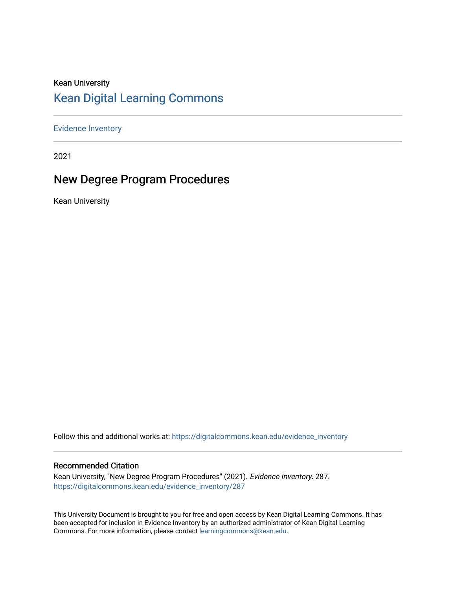# Kean University [Kean Digital Learning Commons](https://digitalcommons.kean.edu/)

[Evidence Inventory](https://digitalcommons.kean.edu/evidence_inventory) 

2021

# New Degree Program Procedures

Kean University

Follow this and additional works at: [https://digitalcommons.kean.edu/evidence\\_inventory](https://digitalcommons.kean.edu/evidence_inventory?utm_source=digitalcommons.kean.edu%2Fevidence_inventory%2F287&utm_medium=PDF&utm_campaign=PDFCoverPages)

### Recommended Citation

Kean University, "New Degree Program Procedures" (2021). Evidence Inventory. 287. [https://digitalcommons.kean.edu/evidence\\_inventory/287](https://digitalcommons.kean.edu/evidence_inventory/287?utm_source=digitalcommons.kean.edu%2Fevidence_inventory%2F287&utm_medium=PDF&utm_campaign=PDFCoverPages)

This University Document is brought to you for free and open access by Kean Digital Learning Commons. It has been accepted for inclusion in Evidence Inventory by an authorized administrator of Kean Digital Learning Commons. For more information, please contact [learningcommons@kean.edu.](mailto:learningcommons@kean.edu)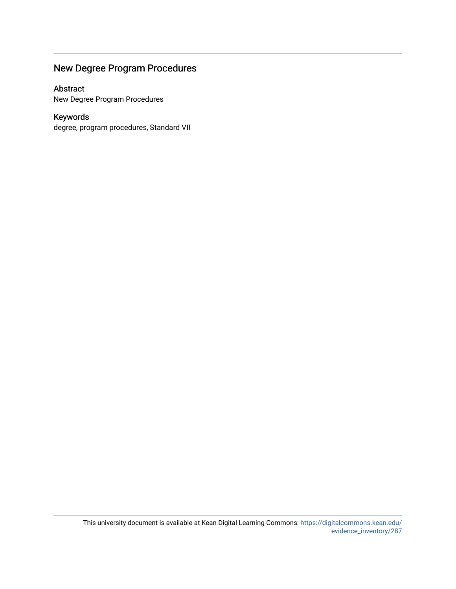# New Degree Program Procedures

## Abstract

New Degree Program Procedures

## Keywords

degree, program procedures, Standard VII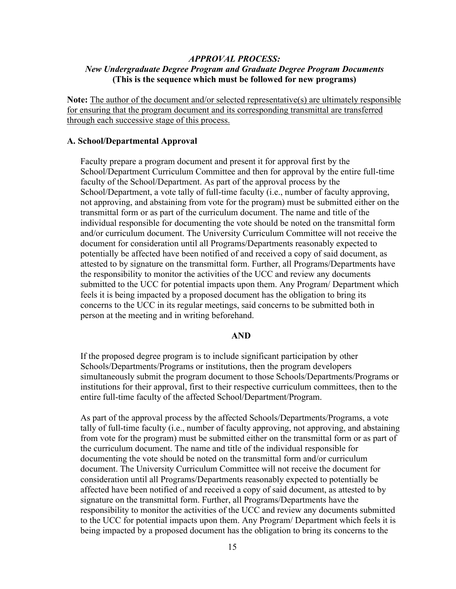## *APPROVAL PROCESS: New Undergraduate Degree Program and Graduate Degree Program Documents* **(This is the sequence which must be followed for new programs)**

**Note:** The author of the document and/or selected representative(s) are ultimately responsible for ensuring that the program document and its corresponding transmittal are transferred through each successive stage of this process.

#### **A. School/Departmental Approval**

Faculty prepare a program document and present it for approval first by the School/Department Curriculum Committee and then for approval by the entire full-time faculty of the School/Department. As part of the approval process by the School/Department, a vote tally of full-time faculty (i.e., number of faculty approving, not approving, and abstaining from vote for the program) must be submitted either on the transmittal form or as part of the curriculum document. The name and title of the individual responsible for documenting the vote should be noted on the transmittal form and/or curriculum document. The University Curriculum Committee will not receive the document for consideration until all Programs/Departments reasonably expected to potentially be affected have been notified of and received a copy of said document, as attested to by signature on the transmittal form. Further, all Programs/Departments have the responsibility to monitor the activities of the UCC and review any documents submitted to the UCC for potential impacts upon them. Any Program/ Department which feels it is being impacted by a proposed document has the obligation to bring its concerns to the UCC in its regular meetings, said concerns to be submitted both in person at the meeting and in writing beforehand.

#### **AND**

If the proposed degree program is to include significant participation by other Schools/Departments/Programs or institutions, then the program developers simultaneously submit the program document to those Schools/Departments/Programs or institutions for their approval, first to their respective curriculum committees, then to the entire full-time faculty of the affected School/Department/Program.

As part of the approval process by the affected Schools/Departments/Programs, a vote tally of full-time faculty (i.e., number of faculty approving, not approving, and abstaining from vote for the program) must be submitted either on the transmittal form or as part of the curriculum document. The name and title of the individual responsible for documenting the vote should be noted on the transmittal form and/or curriculum document. The University Curriculum Committee will not receive the document for consideration until all Programs/Departments reasonably expected to potentially be affected have been notified of and received a copy of said document, as attested to by signature on the transmittal form. Further, all Programs/Departments have the responsibility to monitor the activities of the UCC and review any documents submitted to the UCC for potential impacts upon them. Any Program/ Department which feels it is being impacted by a proposed document has the obligation to bring its concerns to the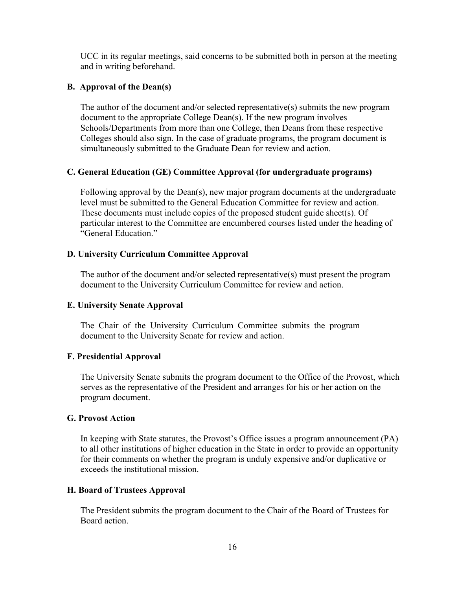UCC in its regular meetings, said concerns to be submitted both in person at the meeting and in writing beforehand.

## **B. Approval of the Dean(s)**

The author of the document and/or selected representative(s) submits the new program document to the appropriate College Dean(s). If the new program involves Schools/Departments from more than one College, then Deans from these respective Colleges should also sign. In the case of graduate programs, the program document is simultaneously submitted to the Graduate Dean for review and action.

## **C. General Education (GE) Committee Approval (for undergraduate programs)**

Following approval by the Dean(s), new major program documents at the undergraduate level must be submitted to the General Education Committee for review and action. These documents must include copies of the proposed student guide sheet(s). Of particular interest to the Committee are encumbered courses listed under the heading of "General Education."

## **D. University Curriculum Committee Approval**

The author of the document and/or selected representative(s) must present the program document to the University Curriculum Committee for review and action.

### **E. University Senate Approval**

The Chair of the University Curriculum Committee submits the program document to the University Senate for review and action.

### **F. Presidential Approval**

The University Senate submits the program document to the Office of the Provost, which serves as the representative of the President and arranges for his or her action on the program document.

### **G. Provost Action**

In keeping with State statutes, the Provost's Office issues a program announcement (PA) to all other institutions of higher education in the State in order to provide an opportunity for their comments on whether the program is unduly expensive and/or duplicative or exceeds the institutional mission.

### **H. Board of Trustees Approval**

The President submits the program document to the Chair of the Board of Trustees for Board action.